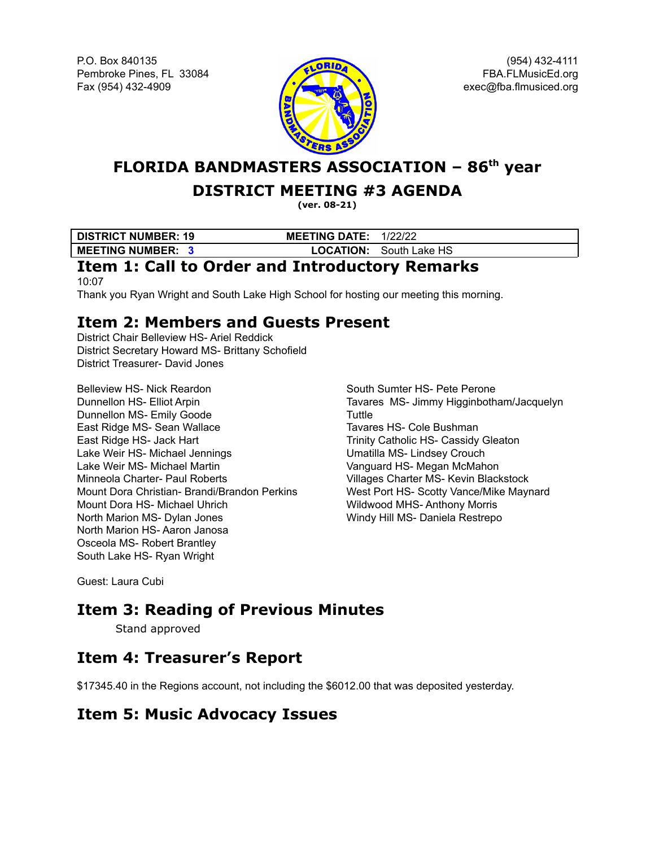P.O. Box 840135 Pembroke Pines, FL 33084 Fax (954) 432-4909



(954) 432-4111 FBA.FLMusicEd.org exec@fba.flmusiced.org

**FLORIDA BANDMASTERS ASSOCIATION – 86 th year**

### **DISTRICT MEETING #3 AGENDA**

**(ver. 08-21)**

**DISTRICT NUMBER: 19 MEETING DATE:** 1/22/22 **MEETING NUMBER: 3 LOCATION:** South Lake HS

## **Item 1: Call to Order and Introductory Remarks**

10:07 Thank you Ryan Wright and South Lake High School for hosting our meeting this morning.

## **Item 2: Members and Guests Present**

District Chair Belleview HS- Ariel Reddick District Secretary Howard MS- Brittany Schofield District Treasurer- David Jones

Belleview HS- Nick Reardon Dunnellon HS- Elliot Arpin Dunnellon MS- Emily Goode East Ridge MS- Sean Wallace East Ridge HS- Jack Hart Lake Weir HS- Michael Jennings Lake Weir MS- Michael Martin Minneola Charter- Paul Roberts Mount Dora Christian- Brandi/Brandon Perkins Mount Dora HS- Michael Uhrich North Marion MS- Dylan Jones North Marion HS- Aaron Janosa Osceola MS- Robert Brantley South Lake HS- Ryan Wright

South Sumter HS- Pete Perone Tavares MS- Jimmy Higginbotham/Jacquelyn **Tuttle** Tavares HS- Cole Bushman Trinity Catholic HS- Cassidy Gleaton Umatilla MS- Lindsey Crouch Vanguard HS- Megan McMahon Villages Charter MS- Kevin Blackstock West Port HS- Scotty Vance/Mike Maynard Wildwood MHS- Anthony Morris Windy Hill MS- Daniela Restrepo

Guest: Laura Cubi

# **Item 3: Reading of Previous Minutes**

Stand approved

## **Item 4: Treasurer's Report**

\$17345.40 in the Regions account, not including the \$6012.00 that was deposited yesterday.

#### **Item 5: Music Advocacy Issues**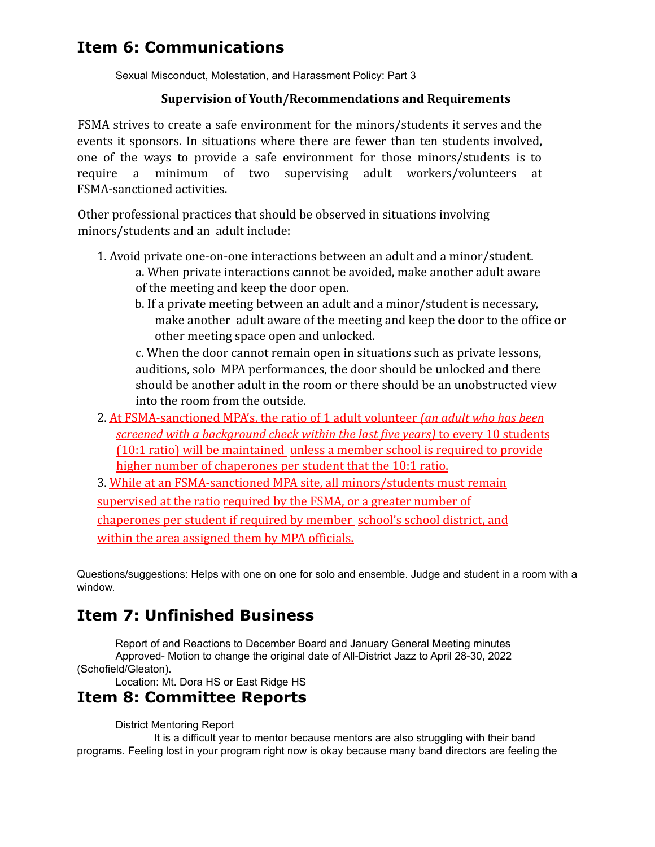## **Item 6: Communications**

Sexual Misconduct, Molestation, and Harassment Policy: Part 3

#### **Supervision of Youth/Recommendations and Requirements**

FSMA strives to create a safe environment for the minors/students it serves and the events it sponsors. In situations where there are fewer than ten students involved, one of the ways to provide a safe environment for those minors/students is to require a minimum of two supervising adult workers/volunteers at FSMA-sanctioned activities.

Other professional practices that should be observed in situations involving minors/students and an adult include:

- 1. Avoid private one-on-one interactions between an adult and a minor/student. a. When private interactions cannot be avoided, make another adult aware of the meeting and keep the door open.
	- b. If a private meeting between an adult and a minor/student is necessary, make another adult aware of the meeting and keep the door to the office or other meeting space open and unlocked.

c. When the door cannot remain open in situations such as private lessons, auditions, solo MPA performances, the door should be unlocked and there should be another adult in the room or there should be an unobstructed view into the room from the outside.

- 2. At FSMA-sanctioned MPA's, the ratio of 1 adult volunteer *(an adult who has been screened with a background check within the last five years)* to every 10 students (10:1 ratio) will be maintained unless a member school is required to provide higher number of chaperones per student that the 10:1 ratio.
- 3. While at an FSMA-sanctioned MPA site, all minors/students must remain supervised at the ratio required by the FSMA, or a greater number of chaperones per student if required by member school's school district, and within the area assigned them by MPA officials.

Questions/suggestions: Helps with one on one for solo and ensemble. Judge and student in a room with a window.

# **Item 7: Unfinished Business**

Report of and Reactions to December Board and January General Meeting minutes Approved- Motion to change the original date of All-District Jazz to April 28-30, 2022 (Schofield/Gleaton).

Location: Mt. Dora HS or East Ridge HS

#### **Item 8: Committee Reports**

District Mentoring Report

It is a difficult year to mentor because mentors are also struggling with their band programs. Feeling lost in your program right now is okay because many band directors are feeling the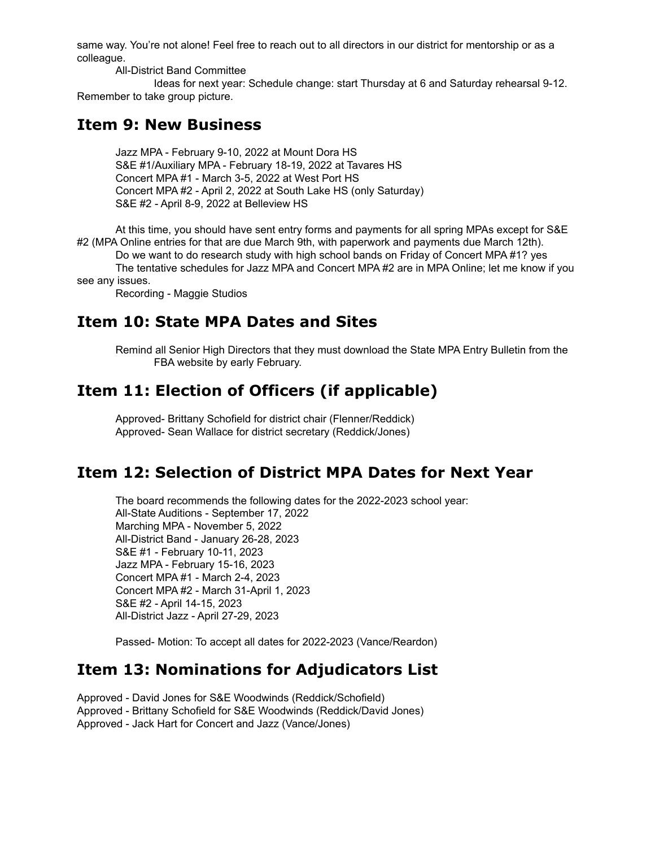same way. You're not alone! Feel free to reach out to all directors in our district for mentorship or as a colleague.

All-District Band Committee

Ideas for next year: Schedule change: start Thursday at 6 and Saturday rehearsal 9-12. Remember to take group picture.

#### **Item 9: New Business**

Jazz MPA - February 9-10, 2022 at Mount Dora HS S&E #1/Auxiliary MPA - February 18-19, 2022 at Tavares HS Concert MPA #1 - March 3-5, 2022 at West Port HS Concert MPA #2 - April 2, 2022 at South Lake HS (only Saturday) S&E #2 - April 8-9, 2022 at Belleview HS

At this time, you should have sent entry forms and payments for all spring MPAs except for S&E #2 (MPA Online entries for that are due March 9th, with paperwork and payments due March 12th).

Do we want to do research study with high school bands on Friday of Concert MPA #1? yes

The tentative schedules for Jazz MPA and Concert MPA #2 are in MPA Online; let me know if you see any issues.

Recording - Maggie Studios

#### **Item 10: State MPA Dates and Sites**

Remind all Senior High Directors that they must download the State MPA Entry Bulletin from the FBA website by early February.

## **Item 11: Election of Officers (if applicable)**

Approved- Brittany Schofield for district chair (Flenner/Reddick) Approved- Sean Wallace for district secretary (Reddick/Jones)

#### **Item 12: Selection of District MPA Dates for Next Year**

The board recommends the following dates for the 2022-2023 school year: All-State Auditions - September 17, 2022 Marching MPA - November 5, 2022 All-District Band - January 26-28, 2023 S&E #1 - February 10-11, 2023 Jazz MPA - February 15-16, 2023 Concert MPA #1 - March 2-4, 2023 Concert MPA #2 - March 31-April 1, 2023 S&E #2 - April 14-15, 2023 All-District Jazz - April 27-29, 2023

Passed- Motion: To accept all dates for 2022-2023 (Vance/Reardon)

## **Item 13: Nominations for Adjudicators List**

Approved - David Jones for S&E Woodwinds (Reddick/Schofield) Approved - Brittany Schofield for S&E Woodwinds (Reddick/David Jones) Approved - Jack Hart for Concert and Jazz (Vance/Jones)